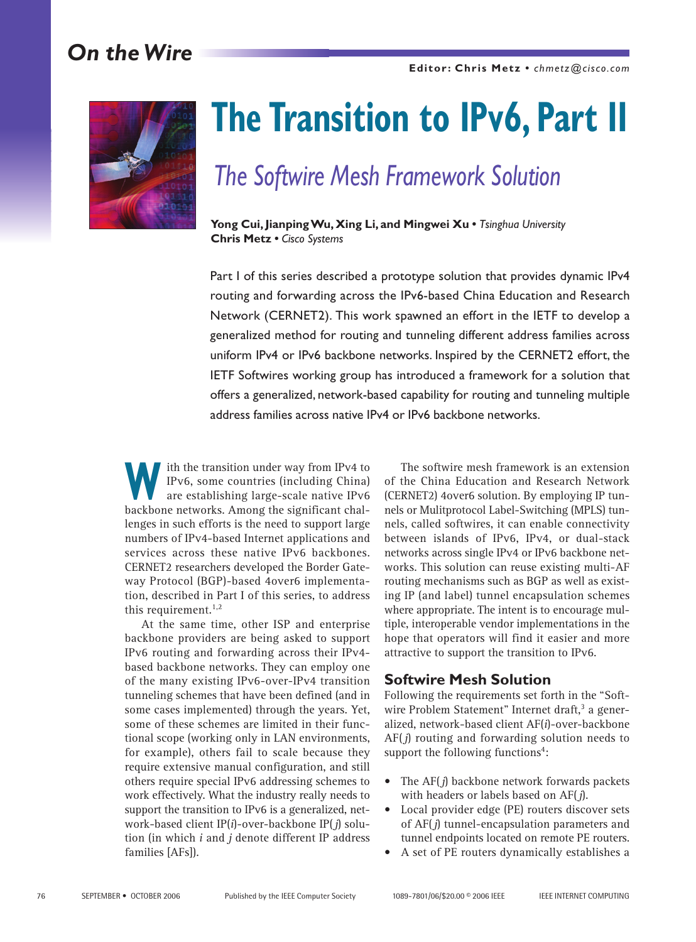# *On the Wire*



# **The Transition to IPv6, Part II**

# *The Softwire Mesh Framework Solution*

**Yong Cui, Jianping Wu, Xing Li, and Mingwei Xu •** *Tsinghua University* **Chris Metz •** *Cisco Systems*

Part I of this series described a prototype solution that provides dynamic IPv4 routing and forwarding across the IPv6-based China Education and Research Network (CERNET2). This work spawned an effort in the IETF to develop a generalized method for routing and tunneling different address families across uniform IPv4 or IPv6 backbone networks. Inspired by the CERNET2 effort, the IETF Softwires working group has introduced a framework for a solution that offers a generalized, network-based capability for routing and tunneling multiple address families across native IPv4 or IPv6 backbone networks.

Ith the transition under way from IPv4 to<br>IPv6, some countries (including China)<br>are establishing large-scale native IPv6<br>hockbons naturals Among the cignificant chal IPv6, some countries (including China) are establishing large-scale native IPv6 backbone networks. Among the significant challenges in such efforts is the need to support large numbers of IPv4-based Internet applications and services across these native IPv6 backbones. CERNET2 researchers developed the Border Gateway Protocol (BGP)-based 4over6 implementation, described in Part I of this series, to address this requirement. $1,2$ 

At the same time, other ISP and enterprise backbone providers are being asked to support IPv6 routing and forwarding across their IPv4 based backbone networks. They can employ one of the many existing IPv6-over-IPv4 transition tunneling schemes that have been defined (and in some cases implemented) through the years. Yet, some of these schemes are limited in their functional scope (working only in LAN environments, for example), others fail to scale because they require extensive manual configuration, and still others require special IPv6 addressing schemes to work effectively. What the industry really needs to support the transition to IPv6 is a generalized, network-based client IP(*i*)-over-backbone IP( *j*) solution (in which *i* and *j* denote different IP address families [AFs]).

The softwire mesh framework is an extension of the China Education and Research Network (CERNET2) 4over6 solution. By employing IP tunnels or Mulitprotocol Label-Switching (MPLS) tunnels, called softwires, it can enable connectivity between islands of IPv6, IPv4, or dual-stack networks across single IPv4 or IPv6 backbone networks. This solution can reuse existing multi-AF routing mechanisms such as BGP as well as existing IP (and label) tunnel encapsulation schemes where appropriate. The intent is to encourage multiple, interoperable vendor implementations in the hope that operators will find it easier and more attractive to support the transition to IPv6.

### **Softwire Mesh Solution**

Following the requirements set forth in the "Softwire Problem Statement" Internet draft,<sup>3</sup> a generalized, network-based client AF(*i*)-over-backbone AF( *j*) routing and forwarding solution needs to support the following functions<sup>4</sup>:

- The AF(*j*) backbone network forwards packets with headers or labels based on AF( *j*).
- Local provider edge (PE) routers discover sets of AF( *j*) tunnel-encapsulation parameters and tunnel endpoints located on remote PE routers.
- A set of PE routers dynamically establishes a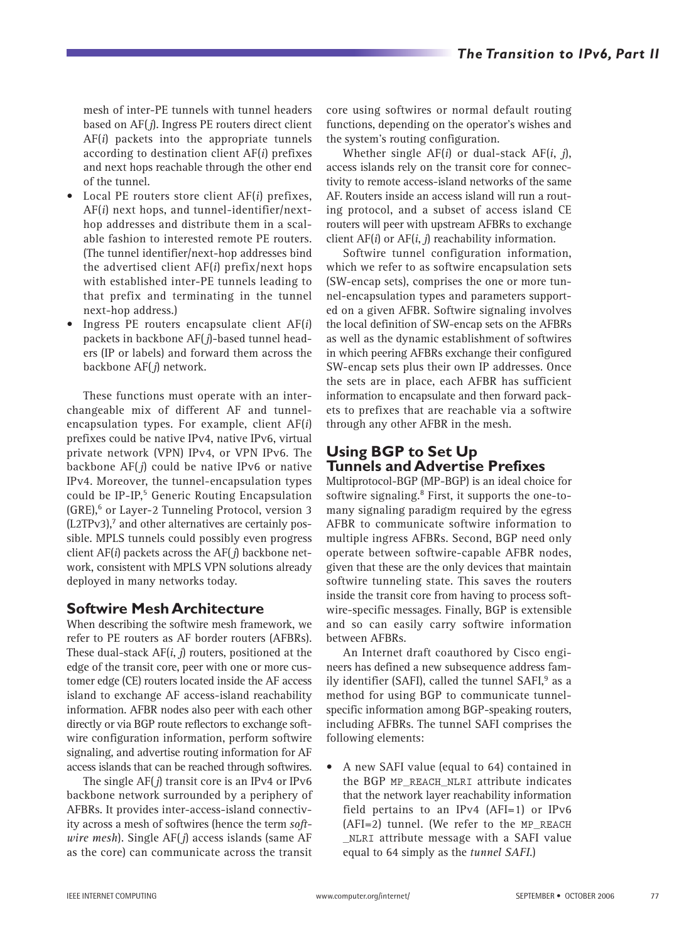mesh of inter-PE tunnels with tunnel headers based on AF( *j*). Ingress PE routers direct client AF(*i*) packets into the appropriate tunnels according to destination client AF(*i*) prefixes and next hops reachable through the other end of the tunnel.

- Local PE routers store client AF(*i*) prefixes, AF(*i*) next hops, and tunnel-identifier/nexthop addresses and distribute them in a scalable fashion to interested remote PE routers. (The tunnel identifier/next-hop addresses bind the advertised client AF(*i*) prefix/next hops with established inter-PE tunnels leading to that prefix and terminating in the tunnel next-hop address.)
- Ingress PE routers encapsulate client AF(*i*) packets in backbone AF( *j*)-based tunnel headers (IP or labels) and forward them across the backbone AF( *j*) network.

These functions must operate with an interchangeable mix of different AF and tunnelencapsulation types. For example, client AF(*i*) prefixes could be native IPv4, native IPv6, virtual private network (VPN) IPv4, or VPN IPv6. The backbone AF( *j*) could be native IPv6 or native IPv4. Moreover, the tunnel-encapsulation types could be IP-IP,<sup>5</sup> Generic Routing Encapsulation (GRE),<sup>6</sup> or Layer-2 Tunneling Protocol, version 3  $(L2TPv3)<sup>7</sup>$  and other alternatives are certainly possible. MPLS tunnels could possibly even progress client AF(*i*) packets across the AF( *j*) backbone network, consistent with MPLS VPN solutions already deployed in many networks today.

### **Softwire Mesh Architecture**

When describing the softwire mesh framework, we refer to PE routers as AF border routers (AFBRs). These dual-stack AF(*i*, *j*) routers, positioned at the edge of the transit core, peer with one or more customer edge (CE) routers located inside the AF access island to exchange AF access-island reachability information. AFBR nodes also peer with each other directly or via BGP route reflectors to exchange softwire configuration information, perform softwire signaling, and advertise routing information for AF access islands that can be reached through softwires.

The single AF( *j*) transit core is an IPv4 or IPv6 backbone network surrounded by a periphery of AFBRs. It provides inter-access-island connectivity across a mesh of softwires (hence the term *softwire mesh*). Single AF(*j*) access islands (same AF as the core) can communicate across the transit

core using softwires or normal default routing functions, depending on the operator's wishes and the system's routing configuration.

Whether single AF(*i*) or dual-stack AF(*i*, *j*), access islands rely on the transit core for connectivity to remote access-island networks of the same AF. Routers inside an access island will run a routing protocol, and a subset of access island CE routers will peer with upstream AFBRs to exchange client AF(*i*) or AF(*i*, *j*) reachability information.

Softwire tunnel configuration information, which we refer to as softwire encapsulation sets (SW-encap sets), comprises the one or more tunnel-encapsulation types and parameters supported on a given AFBR. Softwire signaling involves the local definition of SW-encap sets on the AFBRs as well as the dynamic establishment of softwires in which peering AFBRs exchange their configured SW-encap sets plus their own IP addresses. Once the sets are in place, each AFBR has sufficient information to encapsulate and then forward packets to prefixes that are reachable via a softwire through any other AFBR in the mesh.

## **Using BGP to Set Up Tunnels and Advertise Prefixes**

Multiprotocol-BGP (MP-BGP) is an ideal choice for softwire signaling.<sup>8</sup> First, it supports the one-tomany signaling paradigm required by the egress AFBR to communicate softwire information to multiple ingress AFBRs. Second, BGP need only operate between softwire-capable AFBR nodes, given that these are the only devices that maintain softwire tunneling state. This saves the routers inside the transit core from having to process softwire-specific messages. Finally, BGP is extensible and so can easily carry softwire information between AFBRs.

An Internet draft coauthored by Cisco engineers has defined a new subsequence address family identifier (SAFI), called the tunnel SAFI, $9$  as a method for using BGP to communicate tunnelspecific information among BGP-speaking routers, including AFBRs. The tunnel SAFI comprises the following elements:

• A new SAFI value (equal to 64) contained in the BGP **MP\_REACH\_NLRI** attribute indicates that the network layer reachability information field pertains to an IPv4 (AFI=1) or IPv6 (AFI=2) tunnel. (We refer to the **MP\_REACH \_NLRI** attribute message with a SAFI value equal to 64 simply as the *tunnel SAFI*.)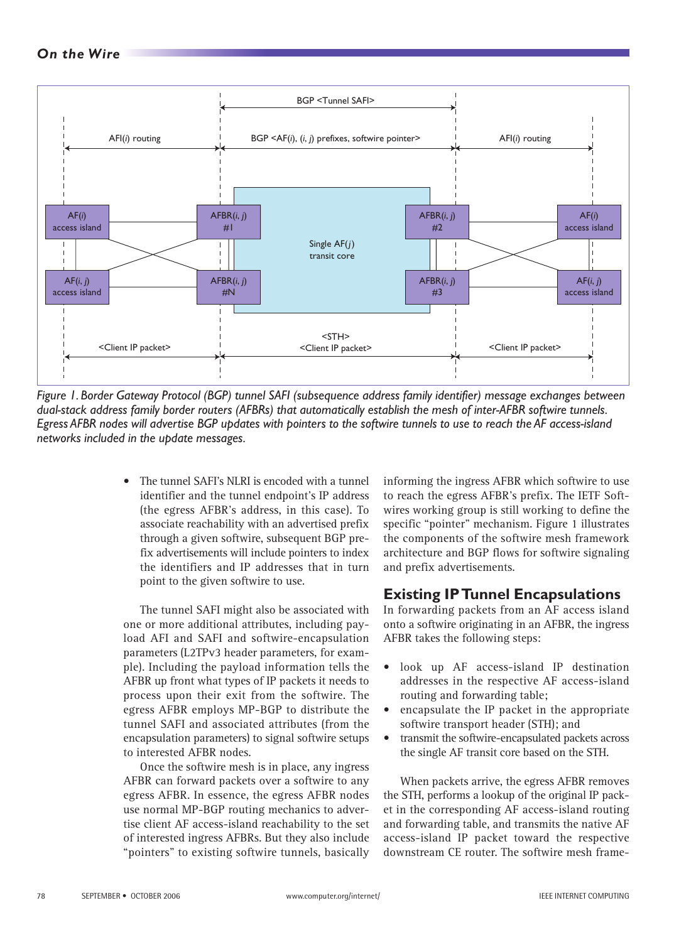

*Figure 1. Border Gateway Protocol (BGP) tunnel SAFI (subsequence address family identifier) message exchanges between dual-stack address family border routers (AFBRs) that automatically establish the mesh of inter-AFBR softwire tunnels. Egress AFBR nodes will advertise BGP updates with pointers to the softwire tunnels to use to reach the AF access-island networks included in the update messages.*

• The tunnel SAFI's NLRI is encoded with a tunnel identifier and the tunnel endpoint's IP address (the egress AFBR's address, in this case). To associate reachability with an advertised prefix through a given softwire, subsequent BGP prefix advertisements will include pointers to index the identifiers and IP addresses that in turn point to the given softwire to use.

The tunnel SAFI might also be associated with one or more additional attributes, including payload AFI and SAFI and softwire-encapsulation parameters (L2TPv3 header parameters, for example). Including the payload information tells the AFBR up front what types of IP packets it needs to process upon their exit from the softwire. The egress AFBR employs MP-BGP to distribute the tunnel SAFI and associated attributes (from the encapsulation parameters) to signal softwire setups to interested AFBR nodes.

Once the softwire mesh is in place, any ingress AFBR can forward packets over a softwire to any egress AFBR. In essence, the egress AFBR nodes use normal MP-BGP routing mechanics to advertise client AF access-island reachability to the set of interested ingress AFBRs. But they also include "pointers" to existing softwire tunnels, basically

informing the ingress AFBR which softwire to use to reach the egress AFBR's prefix. The IETF Softwires working group is still working to define the specific "pointer" mechanism. Figure 1 illustrates the components of the softwire mesh framework architecture and BGP flows for softwire signaling and prefix advertisements.

### **Existing IP Tunnel Encapsulations**

In forwarding packets from an AF access island onto a softwire originating in an AFBR, the ingress AFBR takes the following steps:

- look up AF access-island IP destination addresses in the respective AF access-island routing and forwarding table;
- encapsulate the IP packet in the appropriate softwire transport header (STH); and
- transmit the softwire-encapsulated packets across the single AF transit core based on the STH.

When packets arrive, the egress AFBR removes the STH, performs a lookup of the original IP packet in the corresponding AF access-island routing and forwarding table, and transmits the native AF access-island IP packet toward the respective downstream CE router. The softwire mesh frame-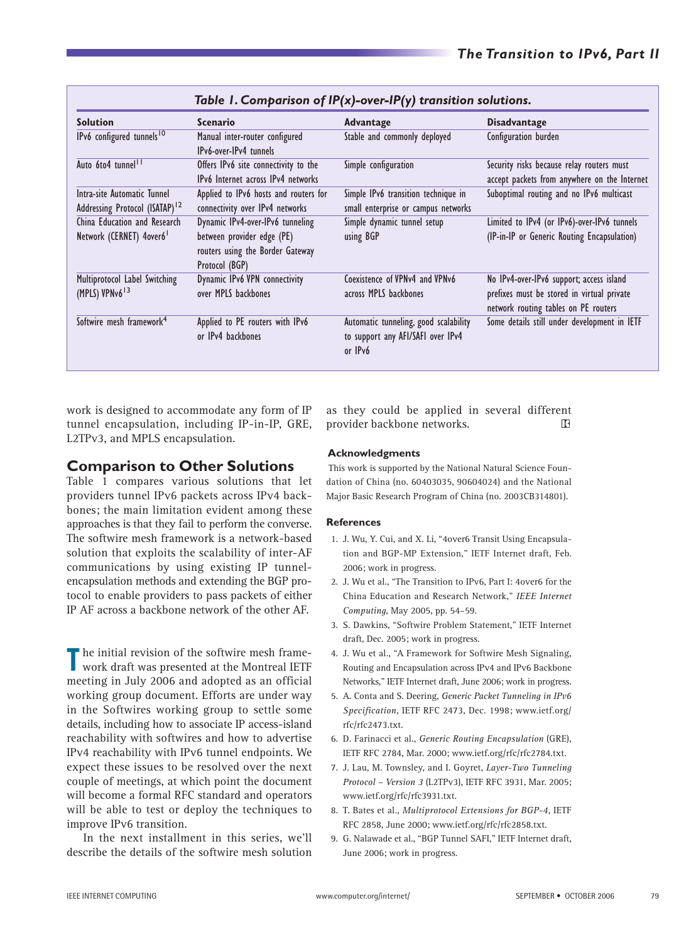| <b>Solution</b>                                                           | <b>Scenario</b>                                                                                                      | Advantage                                                                             | <b>Disadvantage</b>                                                                                                            |
|---------------------------------------------------------------------------|----------------------------------------------------------------------------------------------------------------------|---------------------------------------------------------------------------------------|--------------------------------------------------------------------------------------------------------------------------------|
| IPv6 configured tunnels <sup>10</sup>                                     | Manual inter-router configured<br>IPv6-over-IPv4 tunnels                                                             | Stable and commonly deployed                                                          | Configuration burden                                                                                                           |
| Auto 6to4 tunnel <sup>11</sup>                                            | Offers IPv6 site connectivity to the<br>IPv6 Internet across IPv4 networks                                           | Simple configuration                                                                  | Security risks because relay routers must<br>accept packets from anywhere on the Internet                                      |
| Intra-site Automatic Tunnel<br>Addressing Protocol (ISATAP) <sup>12</sup> | Applied to IPv6 hosts and routers for<br>connectivity over IPv4 networks                                             | Simple IPv6 transition technique in<br>small enterprise or campus networks            | Suboptimal routing and no IPv6 multicast                                                                                       |
| China Education and Research<br>Network (CERNET) 4over6                   | Dynamic IPv4-over-IPv6 tunneling<br>between provider edge (PE)<br>routers using the Border Gateway<br>Protocol (BGP) | Simple dynamic tunnel setup<br>using BGP                                              | Limited to IPv4 (or IPv6)-over-IPv6 tunnels<br>(IP-in-IP or Generic Routing Encapsulation)                                     |
| Multiprotocol Label Switching<br>(MPLS) VPNv6 <sup>13</sup>               | Dynamic IPv6 VPN connectivity<br>over MPLS backbones                                                                 | Coexistence of VPNv4 and VPNv6<br>across MPLS backbones                               | No IPv4-over-IPv6 support; access island<br>prefixes must be stored in virtual private<br>network routing tables on PE routers |
| Softwire mesh framework <sup>4</sup>                                      | Applied to PE routers with IPv6<br>or IPv4 backbones                                                                 | Automatic tunneling, good scalability<br>to support any AFI/SAFI over IPv4<br>or IPv6 | Some details still under development in IETF                                                                                   |

| Table 1. Comparison of $IP(x)$ -over-IP(y) transition solutions. |  |  |  |
|------------------------------------------------------------------|--|--|--|
|------------------------------------------------------------------|--|--|--|

work is designed to accommodate any form of IP tunnel encapsulation, including IP-in-IP, GRE, L2TPv3, and MPLS encapsulation.

### **Comparison to Other Solutions**

Table 1 compares various solutions that let providers tunnel IPv6 packets across IPv4 backbones; the main limitation evident among these approaches is that they fail to perform the converse. The softwire mesh framework is a network-based solution that exploits the scalability of inter-AF communications by using existing IP tunnelencapsulation methods and extending the BGP protocol to enable providers to pass packets of either IP AF across a backbone network of the other AF.

**T** he initial revision of the softwire mesh frame-work draft was presented at the Montreal IETF meeting in July 2006 and adopted as an official working group document. Efforts are under way in the Softwires working group to settle some details, including how to associate IP access-island reachability with softwires and how to advertise IPv4 reachability with IPv6 tunnel endpoints. We expect these issues to be resolved over the next couple of meetings, at which point the document will become a formal RFC standard and operators will be able to test or deploy the techniques to improve IPv6 transition.

In the next installment in this series, we'll describe the details of the softwire mesh solution as they could be applied in several different provider backbone networks.  $\mathbb{E}$ 

#### **Acknowledgments**

This work is supported by the National Natural Science Foundation of China (no. 60403035, 90604024) and the National Major Basic Research Program of China (no. 2003CB314801).

#### **References**

- 1. J. Wu, Y. Cui, and X. Li, "4over6 Transit Using Encapsulation and BGP-MP Extension," IETF Internet draft, Feb. 2006; work in progress.
- 2. J. Wu et al., "The Transition to IPv6, Part I: 4over6 for the China Education and Research Network," *IEEE Internet Computing*, May 2005, pp. 54–59.
- 3. S. Dawkins, "Softwire Problem Statement," IETF Internet draft, Dec. 2005; work in progress.
- 4. J. Wu et al., "A Framework for Softwire Mesh Signaling, Routing and Encapsulation across IPv4 and IPv6 Backbone Networks," IETF Internet draft, June 2006; work in progress.
- 5. A. Conta and S. Deering, *Generic Packet Tunneling in IPv6 Specification*, IETF RFC 2473, Dec. 1998; www.ietf.org/ rfc/rfc2473.txt.
- 6. D. Farinacci et al., *Generic Routing Encapsulation* (GRE), IETF RFC 2784, Mar. 2000; www.ietf.org/rfc/rfc2784.txt.
- 7. J. Lau, M. Townsley, and I. Goyret, *Layer-Two Tunneling Protocol – Version 3* (L2TPv3), IETF RFC 3931, Mar. 2005; www.ietf.org/rfc/rfc3931.txt.
- 8. T. Bates et al., *Multiprotocol Extensions for BGP-4*, IETF RFC 2858, June 2000; www.ietf.org/rfc/rfc2858.txt.
- 9. G. Nalawade et al., "BGP Tunnel SAFI," IETF Internet draft, June 2006; work in progress.